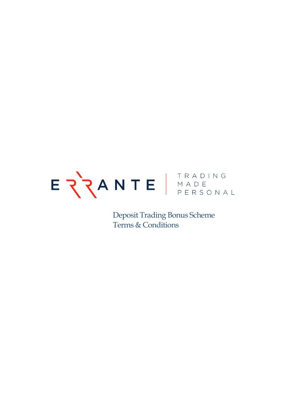

Deposit Trading Bonus Scheme Terms & Conditions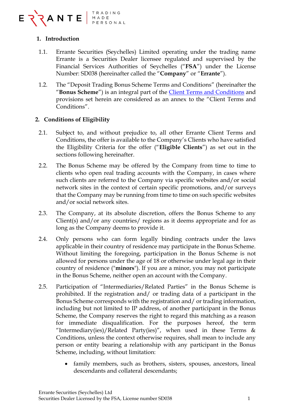

# **1. Introduction**

- 1.1. Errante Securities (Seychelles) Limited operating under the trading name Errante is a Securities Dealer licensee regulated and supervised by the Financial Services Authorities of Seychelles ("**FSA**") under the License Number: SD038 (hereinafter called the "**Company**" or "**Errante**").
- 1.2. The "Deposit Trading Bonus Scheme Terms and Conditions" (hereinafter the "**Bonus Scheme**") is an integral part of the [Client Terms and Conditions](https://errante.com/terms-and-conditions/) and provisions set herein are considered as an annex to the "Client Terms and Conditions".

## **2. Conditions of Eligibility**

- 2.1. Subject to, and without prejudice to, all other Errante Client Terms and Conditions, the offer is available to the Company's Clients who have satisfied the Eligibility Criteria for the offer ("**Eligible Clients**") as set out in the sections following hereinafter.
- 2.2. The Bonus Scheme may be offered by the Company from time to time to clients who open real trading accounts with the Company, in cases where such clients are referred to the Company via specific websites and/or social network sites in the context of certain specific promotions, and/or surveys that the Company may be running from time to time on such specific websites and/or social network sites.
- 2.3. The Company, at its absolute discretion, offers the Bonus Scheme to any Client(s) and/or any countries/ regions as it deems appropriate and for as long as the Company deems to provide it.
- 2.4. Only persons who can form legally binding contracts under the laws applicable in their country of residence may participate in the Bonus Scheme. Without limiting the foregoing, participation in the Bonus Scheme is not allowed for persons under the age of 18 or otherwise under legal age in their country of residence ("**minors**"). If you are a minor, you may not participate in the Bonus Scheme, neither open an account with the Company.
- 2.5. Participation of "Intermediaries/Related Parties" in the Bonus Scheme is prohibited. If the registration and/ or trading data of a participant in the Bonus Scheme corresponds with the registration and/ or trading information, including but not limited to IP address, of another participant in the Bonus Scheme, the Company reserves the right to regard this matching as a reason for immediate disqualification. For the purposes hereof, the term "Intermediary(ies)/Related Party(ies)", when used in these Terms  $\&$ Conditions, unless the context otherwise requires, shall mean to include any person or entity bearing a relationship with any participant in the Bonus Scheme, including, without limitation:
	- family members, such as brothers, sisters, spouses, ancestors, lineal descendants and collateral descendants;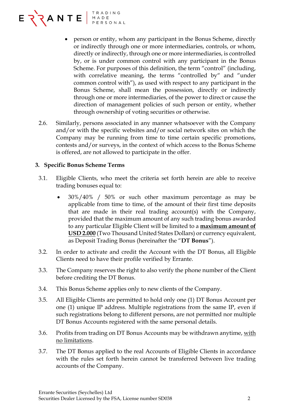

- person or entity, whom any participant in the Bonus Scheme, directly or indirectly through one or more intermediaries, controls, or whom, directly or indirectly, through one or more intermediaries, is controlled by, or is under common control with any participant in the Bonus Scheme. For purposes of this definition, the term "control" (including, with correlative meaning, the terms "controlled by" and "under common control with"), as used with respect to any participant in the Bonus Scheme, shall mean the possession, directly or indirectly through one or more intermediaries, of the power to direct or cause the direction of management policies of such person or entity, whether through ownership of voting securities or otherwise.
- 2.6. Similarly, persons associated in any manner whatsoever with the Company and/or with the specific websites and/or social network sites on which the Company may be running from time to time certain specific promotions, contests and/or surveys, in the context of which access to the Bonus Scheme is offered, are not allowed to participate in the offer.

## **3. Specific Bonus Scheme Terms**

- 3.1. Eligible Clients, who meet the criteria set forth herein are able to receive trading bonuses equal to:
	- 30%/40% / 50% or such other maximum percentage as may be applicable from time to time, of the amount of their first time deposits that are made in their real trading account(s) with the Company, provided that the maximum amount of any such trading bonus awarded to any particular Eligible Client will be limited to a **maximum amount of USD 2.000** (Two Thousand United States Dollars) or currency equivalent, as Deposit Trading Bonus (hereinafter the "**DT Bonus**").
- 3.2. In order to activate and credit the Account with the DT Bonus, all Eligible Clients need to have their profile verified by Errante.
- 3.3. The Company reserves the right to also verify the phone number of the Client before crediting the DT Bonus.
- 3.4. This Bonus Scheme applies only to new clients of the Company.
- 3.5. All Eligible Clients are permitted to hold only one (1) DT Bonus Account per one (1) unique IP address. Multiple registrations from the same IP, even if such registrations belong to different persons, are not permitted nor multiple DT Bonus Accounts registered with the same personal details.
- 3.6. Profits from trading on DT Bonus Accounts may be withdrawn anytime, with no limitations.
- 3.7. The DT Bonus applied to the real Accounts of Eligible Clients in accordance with the rules set forth herein cannot be transferred between live trading accounts of the Company.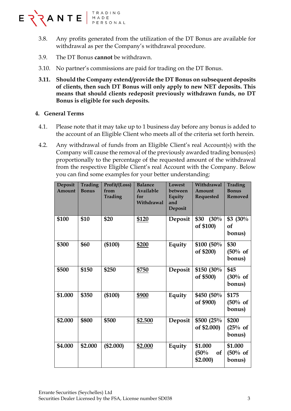

- 3.8. Any profits generated from the utilization of the DT Bonus are available for withdrawal as per the Company's withdrawal procedure.
- 3.9. The DT Bonus **cannot** be withdrawn.
- 3.10. No partner's commissions are paid for trading on the DT Bonus.
- **3.11. Should the Company extend/provide the DT Bonus on subsequent deposits of clients, then such DT Bonus will only apply to new NET deposits. This means that should clients redeposit previously withdrawn funds, no DT Bonus is eligible for such deposits.**

### **4. General Terms**

- 4.1. Please note that it may take up to 1 business day before any bonus is added to the account of an Eligible Client who meets all of the criteria set forth herein.
- 4.2. Any withdrawal of funds from an Eligible Client's real Account(s) with the Company will cause the removal of the previously awarded trading bonus(es) proportionally to the percentage of the requested amount of the withdrawal from the respective Eligible Client's real Account with the Company. Below you can find some examples for your better understanding:

| Deposit<br>Amount | <b>Trading</b><br><b>Bonus</b> | Profit/(Loss)<br>from<br><b>Trading</b> | <b>Balance</b><br><b>Available</b><br>for<br>Withdrawal | Lowest<br>between<br>Equity<br>and<br>Deposit | Withdrawal<br>Amount<br><b>Requested</b> | <b>Trading</b><br><b>Bonus</b><br><b>Removed</b> |
|-------------------|--------------------------------|-----------------------------------------|---------------------------------------------------------|-----------------------------------------------|------------------------------------------|--------------------------------------------------|
| \$100             | \$10                           | \$20                                    | \$120                                                   | Deposit                                       | \$30<br>(30%<br>of \$100)                | $$3$ (30%)<br>of<br>bonus)                       |
| \$300             | \$60                           | (\$100)                                 | \$200                                                   | Equity                                        | \$100 (50%)<br>of \$200)                 | \$30<br>(50% of<br>bonus)                        |
| \$500             | \$150                          | \$250                                   | \$750                                                   | Deposit                                       | \$150 (30%)<br>of \$500)                 | \$45<br>(30% of<br>bonus)                        |
| \$1.000           | \$350                          | (\$100)                                 | \$900                                                   | Equity                                        | \$450 (50%)<br>of \$900)                 | \$175<br>(50% of<br>bonus)                       |
| \$2.000           | \$800                          | \$500                                   | \$2.500                                                 | Deposit                                       | \$500 (25%)<br>of \$2.000)               | \$200<br>(25% of<br>bonus)                       |
| \$4.000           | \$2.000                        | (\$2.000)                               | \$2.000                                                 | Equity                                        | \$1.000<br>(50%<br><b>of</b><br>\$2.000) | \$1.000<br>(50% of<br>bonus)                     |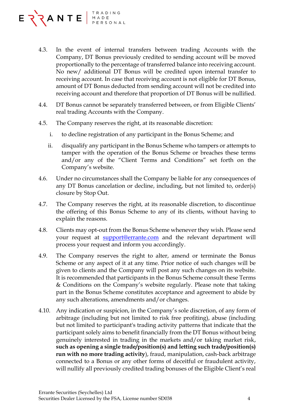

- 4.3. In the event of internal transfers between trading Accounts with the Company, DT Bonus previously credited to sending account will be moved proportionally to the percentage of transferred balance into receiving account. No new/ additional DT Bonus will be credited upon internal transfer to receiving account. In case that receiving account is not eligible for DT Bonus, amount of DT Bonus deducted from sending account will not be credited into receiving account and therefore that proportion of DT Bonus will be nullified.
- 4.4. DT Bonus cannot be separately transferred between, or from Eligible Clients' real trading Accounts with the Company.
- 4.5. The Company reserves the right, at its reasonable discretion:
	- i. to decline registration of any participant in the Bonus Scheme; and
	- ii. disqualify any participant in the Bonus Scheme who tampers or attempts to tamper with the operation of the Bonus Scheme or breaches these terms and/or any of the "Client Terms and Conditions" set forth on the Company's website.
- 4.6. Under no circumstances shall the Company be liable for any consequences of any DT Bonus cancelation or decline, including, but not limited to, order(s) closure by Stop Out.
- 4.7. The Company reserves the right, at its reasonable discretion, to discontinue the offering of this Bonus Scheme to any of its clients, without having to explain the reasons.
- 4.8. Clients may opt-out from the Bonus Scheme whenever they wish. Please send your request at [support@errante.com](mailto:support@errante.com) and the relevant department will process your request and inform you accordingly.
- 4.9. The Company reserves the right to alter, amend or terminate the Bonus Scheme or any aspect of it at any time. Prior notice of such changes will be given to clients and the Company will post any such changes on its website. It is recommended that participants in the Bonus Scheme consult these Terms & Conditions on the Company's website regularly. Please note that taking part in the Bonus Scheme constitutes acceptance and agreement to abide by any such alterations, amendments and/or changes.
- 4.10. Any indication or suspicion, in the Company's sole discretion, of any form of arbitrage (including but not limited to risk free profiting), abuse (including but not limited to participant's trading activity patterns that indicate that the participant solely aims to benefit financially from the DT Bonus without being genuinely interested in trading in the markets and/or taking market risk, **such as opening a single trade/position(s) and letting such trade/position(s) run with no more trading activity**), fraud, manipulation, cash-back arbitrage connected to a Bonus or any other forms of deceitful or fraudulent activity, will nullify all previously credited trading bonuses of the Eligible Client's real